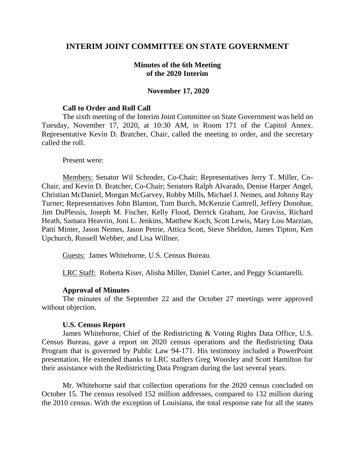# **INTERIM JOINT COMMITTEE ON STATE GOVERNMENT**

## **Minutes of the 6th Meeting of the 2020 Interim**

### **November 17, 2020**

#### **Call to Order and Roll Call**

The sixth meeting of the Interim Joint Committee on State Government was held on Tuesday, November 17, 2020, at 10:30 AM, in Room 171 of the Capitol Annex. Representative Kevin D. Bratcher, Chair, called the meeting to order, and the secretary called the roll.

#### Present were:

Members: Senator Wil Schroder, Co-Chair; Representatives Jerry T. Miller, Co-Chair, and Kevin D. Bratcher, Co-Chair; Senators Ralph Alvarado, Denise Harper Angel, Christian McDaniel, Morgan McGarvey, Robby Mills, Michael J. Nemes, and Johnny Ray Turner; Representatives John Blanton, Tom Burch, McKenzie Cantrell, Jeffery Donohue, Jim DuPlessis, Joseph M. Fischer, Kelly Flood, Derrick Graham, Joe Graviss, Richard Heath, Samara Heavrin, Joni L. Jenkins, Matthew Koch, Scott Lewis, Mary Lou Marzian, Patti Minter, Jason Nemes, Jason Petrie, Attica Scott, Steve Sheldon, James Tipton, Ken Upchurch, Russell Webber, and Lisa Willner.

Guests: James Whitehorne, U.S. Census Bureau.

LRC Staff: Roberta Kiser, Alisha Miller, Daniel Carter, and Peggy Sciantarelli.

#### **Approval of Minutes**

The minutes of the September 22 and the October 27 meetings were approved without objection.

#### **U.S. Census Report**

James Whitehorne, Chief of the Redistricting & Voting Rights Data Office, U.S. Census Bureau, gave a report on 2020 census operations and the Redistricting Data Program that is governed by Public Law 94-171. His testimony included a PowerPoint presentation. He extended thanks to LRC staffers Greg Woosley and Scott Hamilton for their assistance with the Redistricting Data Program during the last several years.

Mr. Whitehorne said that collection operations for the 2020 census concluded on October 15. The census resolved 152 million addresses, compared to 132 million during the 2010 census. With the exception of Louisiana, the total response rate for all the states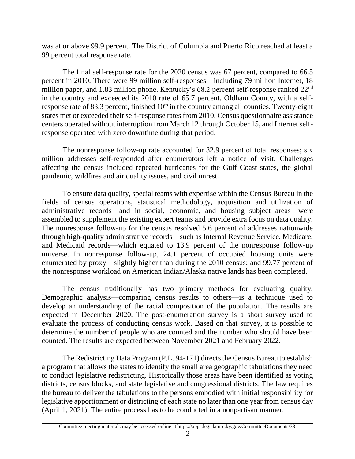was at or above 99.9 percent. The District of Columbia and Puerto Rico reached at least a 99 percent total response rate.

The final self-response rate for the 2020 census was 67 percent, compared to 66.5 percent in 2010. There were 99 million self-responses—including 79 million Internet, 18 million paper, and 1.83 million phone. Kentucky's 68.2 percent self-response ranked 22<sup>nd</sup> in the country and exceeded its 2010 rate of 65.7 percent. Oldham County, with a selfresponse rate of 83.3 percent, finished  $10<sup>th</sup>$  in the country among all counties. Twenty-eight states met or exceeded their self-response rates from 2010. Census questionnaire assistance centers operated without interruption from March 12 through October 15, and Internet selfresponse operated with zero downtime during that period.

The nonresponse follow-up rate accounted for 32.9 percent of total responses; six million addresses self-responded after enumerators left a notice of visit. Challenges affecting the census included repeated hurricanes for the Gulf Coast states, the global pandemic, wildfires and air quality issues, and civil unrest.

To ensure data quality, special teams with expertise within the Census Bureau in the fields of census operations, statistical methodology, acquisition and utilization of administrative records—and in social, economic, and housing subject areas—were assembled to supplement the existing expert teams and provide extra focus on data quality. The nonresponse follow-up for the census resolved 5.6 percent of addresses nationwide through high-quality administrative records—such as Internal Revenue Service, Medicare, and Medicaid records—which equated to 13.9 percent of the nonresponse follow-up universe. In nonresponse follow-up, 24.1 percent of occupied housing units were enumerated by proxy—slightly higher than during the 2010 census; and 99.77 percent of the nonresponse workload on American Indian/Alaska native lands has been completed.

The census traditionally has two primary methods for evaluating quality. Demographic analysis—comparing census results to others—is a technique used to develop an understanding of the racial composition of the population. The results are expected in December 2020. The post-enumeration survey is a short survey used to evaluate the process of conducting census work. Based on that survey, it is possible to determine the number of people who are counted and the number who should have been counted. The results are expected between November 2021 and February 2022.

The Redistricting Data Program (P.L. 94-171) directs the Census Bureau to establish a program that allows the states to identify the small area geographic tabulations they need to conduct legislative redistricting. Historically those areas have been identified as voting districts, census blocks, and state legislative and congressional districts. The law requires the bureau to deliver the tabulations to the persons embodied with initial responsibility for legislative apportionment or districting of each state no later than one year from census day (April 1, 2021). The entire process has to be conducted in a nonpartisan manner.

Committee meeting materials may be accessed online at https://apps.legislature.ky.gov/CommitteeDocuments/33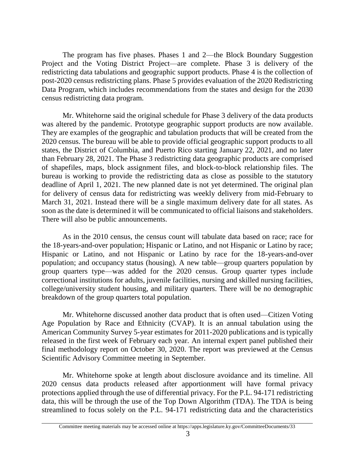The program has five phases. Phases 1 and 2—the Block Boundary Suggestion Project and the Voting District Project—are complete. Phase 3 is delivery of the redistricting data tabulations and geographic support products. Phase 4 is the collection of post-2020 census redistricting plans. Phase 5 provides evaluation of the 2020 Redistricting Data Program, which includes recommendations from the states and design for the 2030 census redistricting data program.

Mr. Whitehorne said the original schedule for Phase 3 delivery of the data products was altered by the pandemic. Prototype geographic support products are now available. They are examples of the geographic and tabulation products that will be created from the 2020 census. The bureau will be able to provide official geographic support products to all states, the District of Columbia, and Puerto Rico starting January 22, 2021, and no later than February 28, 2021. The Phase 3 redistricting data geographic products are comprised of shapefiles, maps, block assignment files, and block-to-block relationship files. The bureau is working to provide the redistricting data as close as possible to the statutory deadline of April 1, 2021. The new planned date is not yet determined. The original plan for delivery of census data for redistricting was weekly delivery from mid-February to March 31, 2021. Instead there will be a single maximum delivery date for all states. As soon as the date is determined it will be communicated to official liaisons and stakeholders. There will also be public announcements.

As in the 2010 census, the census count will tabulate data based on race; race for the 18-years-and-over population; Hispanic or Latino, and not Hispanic or Latino by race; Hispanic or Latino, and not Hispanic or Latino by race for the 18-years-and-over population; and occupancy status (housing). A new table—group quarters population by group quarters type—was added for the 2020 census. Group quarter types include correctional institutions for adults, juvenile facilities, nursing and skilled nursing facilities, college/university student housing, and military quarters. There will be no demographic breakdown of the group quarters total population.

Mr. Whitehorne discussed another data product that is often used—Citizen Voting Age Population by Race and Ethnicity (CVAP). It is an annual tabulation using the American Community Survey 5-year estimates for 2011-2020 publications and is typically released in the first week of February each year. An internal expert panel published their final methodology report on October 30, 2020. The report was previewed at the Census Scientific Advisory Committee meeting in September.

Mr. Whitehorne spoke at length about disclosure avoidance and its timeline. All 2020 census data products released after apportionment will have formal privacy protections applied through the use of differential privacy. For the P.L. 94-171 redistricting data, this will be through the use of the Top Down Algorithm (TDA). The TDA is being streamlined to focus solely on the P.L. 94-171 redistricting data and the characteristics